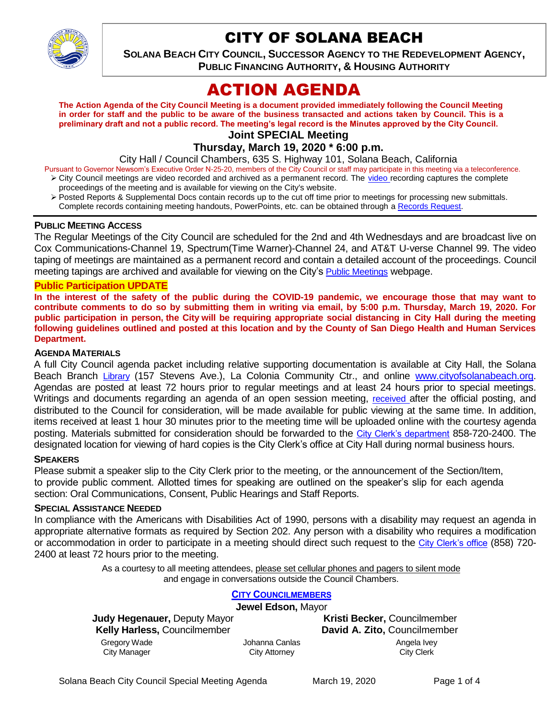

# CITY OF SOLANA BEACH

**SOLANA BEACH CITY COUNCIL, SUCCESSOR AGENCY TO THE REDEVELOPMENT AGENCY, PUBLIC FINANCING AUTHORITY, & HOUSING AUTHORITY** 

# ACTION AGENDA

**The Action Agenda of the City Council Meeting is a document provided immediately following the Council Meeting in order for staff and the public to be aware of the business transacted and actions taken by Council. This is a preliminary draft and not a public record. The meeting's legal record is the Minutes approved by the City Council.**

**Joint SPECIAL Meeting**

**Thursday, March 19, 2020 \* 6:00 p.m.** 

City Hall / Council Chambers, 635 S. Highway 101, Solana Beach, California

Pursuant to Governor Newsom's Executive Order N-25-20, members of the City Council or staff may participate in this meeting via a teleconference.

- > City Council meetings are [video r](https://solanabeach.12milesout.com/#page=1)ecorded and archived as a permanent record. The video recording captures the complete proceedings of the meeting and is available for viewing on the City's website.
- Posted Reports & Supplemental Docs contain records up to the cut off time prior to meetings for processing new submittals. Complete records containing meeting handouts, PowerPoints, etc. can be obtained through a [Records Request.](http://www.ci.solana-beach.ca.us/index.asp?SEC=F5D45D10-70CE-4291-A27C-7BD633FC6742&Type=B_BASIC)

#### **PUBLIC MEETING ACCESS**

The Regular Meetings of the City Council are scheduled for the 2nd and 4th Wednesdays and are broadcast live on Cox Communications-Channel 19, Spectrum(Time Warner)-Channel 24, and AT&T U-verse Channel 99. The video taping of meetings are maintained as a permanent record and contain a detailed account of the proceedings. Council meeting tapings are archived and available for viewing on the City's [Public Meetings](https://www.ci.solana-beach.ca.us/index.asp?SEC=F0F1200D-21C6-4A88-8AE1-0BC07C1A81A7&Type=B_BASIC) webpage.

#### **Public Participation UPDATE**

**In the interest of the safety of the public during the COVID-19 pandemic, we encourage those that may want to contribute comments to do so by submitting them in writing via email, by 5:00 p.m. Thursday, March 19, 2020. For public participation in person, the City will be requiring appropriate social distancing in City Hall during the meeting following guidelines outlined and posted at this location and by the County of San Diego Health and Human Services Department.**

#### **AGENDA MATERIALS**

A full City Council agenda packet including relative supporting documentation is available at City Hall, the Solana Beach Branch [Library](http://www.sdcl.org/locations_SB.html) (157 Stevens Ave.), La Colonia Community Ctr., and online [www.cityofsolanabeach.org.](http://www.cityofsolanabeach.org/) Agendas are posted at least 72 hours prior to regular meetings and at least 24 hours prior to special meetings. Writings and documents regarding an agenda of an open session meeting, [received](mailto:EMAILGRP-CityClerksOfc@cosb.org) after the official posting, and distributed to the Council for consideration, will be made available for public viewing at the same time. In addition, items received at least 1 hour 30 minutes prior to the meeting time will be uploaded online with the courtesy agenda posting. Materials submitted for consideration should be forwarded to the [City Clerk's department](mailto:EMAILGRP-CityClerksOfc@cosb.org) 858-720-2400. The designated location for viewing of hard copies is the City Clerk's office at City Hall during normal business hours.

#### **SPEAKERS**

Please submit a speaker slip to the City Clerk prior to the meeting, or the announcement of the Section/Item, to provide public comment. Allotted times for speaking are outlined on the speaker's slip for each agenda section: Oral Communications, Consent, Public Hearings and Staff Reports.

#### **SPECIAL ASSISTANCE NEEDED**

In compliance with the Americans with Disabilities Act of 1990, persons with a disability may request an agenda in appropriate alternative formats as required by Section 202. Any person with a disability who requires a modification or accommodation in order to participate in a meeting should direct such request to the [City Clerk's office](mailto:clerkadmin@cosb.org?subject=City%20Clerk%20Notice%20of%20Special%20Services%20Needed) (858) 720- 2400 at least 72 hours prior to the meeting.

> As a courtesy to all meeting attendees, please set cellular phones and pagers to silent mode and engage in conversations outside the Council Chambers.

#### **CITY C[OUNCILMEMBERS](https://www.ci.solana-beach.ca.us/index.asp?SEC=C38A5C14-3D2B-4356-BFEA-A35854AC6D45&Type=B_BASIC)**

| Jewel Edson, Mayor                  |                |                              |
|-------------------------------------|----------------|------------------------------|
| <b>Judy Hegenauer, Deputy Mayor</b> |                | Kristi Becker, Councilmember |
| <b>Kelly Harless, Councilmember</b> |                | David A. Zito, Councilmember |
| Gregory Wade                        | Johanna Canlas | Angela Ivey                  |
| City Manager                        | City Attorney  | <b>City Clerk</b>            |
|                                     |                |                              |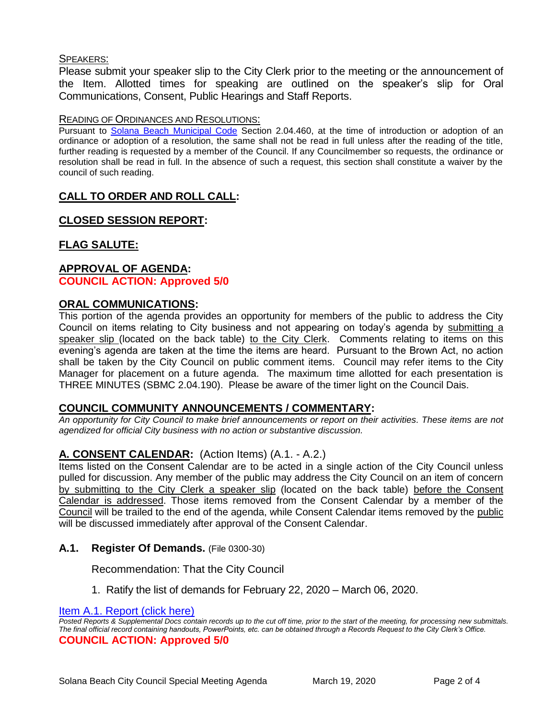## SPEAKERS:

Please submit your speaker slip to the City Clerk prior to the meeting or the announcement of the Item. Allotted times for speaking are outlined on the speaker's slip for Oral Communications, Consent, Public Hearings and Staff Reports.

#### READING OF ORDINANCES AND RESOLUTIONS:

Pursuant to [Solana Beach Municipal Code](https://www.codepublishing.com/CA/SolanaBeach/) Section 2.04.460, at the time of introduction or adoption of an ordinance or adoption of a resolution, the same shall not be read in full unless after the reading of the title, further reading is requested by a member of the Council. If any Councilmember so requests, the ordinance or resolution shall be read in full. In the absence of such a request, this section shall constitute a waiver by the council of such reading.

# **CALL TO ORDER AND ROLL CALL:**

## **CLOSED SESSION REPORT:**

# **FLAG SALUTE:**

## **APPROVAL OF AGENDA: COUNCIL ACTION: Approved 5/0**

## **ORAL COMMUNICATIONS:**

This portion of the agenda provides an opportunity for members of the public to address the City Council on items relating to City business and not appearing on today's agenda by submitting a speaker slip (located on the back table) to the City Clerk. Comments relating to items on this evening's agenda are taken at the time the items are heard. Pursuant to the Brown Act, no action shall be taken by the City Council on public comment items. Council may refer items to the City Manager for placement on a future agenda. The maximum time allotted for each presentation is THREE MINUTES (SBMC 2.04.190). Please be aware of the timer light on the Council Dais.

## **COUNCIL COMMUNITY ANNOUNCEMENTS / COMMENTARY:**

*An opportunity for City Council to make brief announcements or report on their activities. These items are not agendized for official City business with no action or substantive discussion.* 

# **A. CONSENT CALENDAR:** (Action Items) (A.1. - A.2.)

Items listed on the Consent Calendar are to be acted in a single action of the City Council unless pulled for discussion. Any member of the public may address the City Council on an item of concern by submitting to the City Clerk a speaker slip (located on the back table) before the Consent Calendar is addressed. Those items removed from the Consent Calendar by a member of the Council will be trailed to the end of the agenda, while Consent Calendar items removed by the public will be discussed immediately after approval of the Consent Calendar.

## **A.1. Register Of Demands.** (File 0300-30)

Recommendation: That the City Council

1. Ratify the list of demands for February 22, 2020 – March 06, 2020.

#### [Item A.1. Report \(click here\)](https://solanabeach.govoffice3.com/vertical/Sites/%7B840804C2-F869-4904-9AE3-720581350CE7%7D/uploads/Item_A.1._Report_(click_here)_03-19-20_-_O.pdf)

*Posted Reports & Supplemental Docs contain records up to the cut off time, prior to the start of the meeting, for processing new submittals. The final official record containing handouts, PowerPoints, etc. can be obtained through a Records Request to the City Clerk's Office.* **COUNCIL ACTION: Approved 5/0**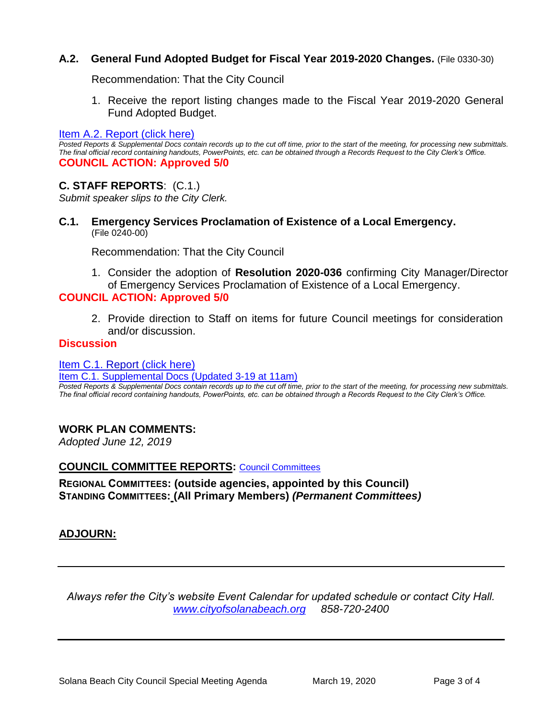# **A.2. General Fund Adopted Budget for Fiscal Year 2019-2020 Changes.** (File 0330-30)

Recommendation: That the City Council

1. Receive the report listing changes made to the Fiscal Year 2019-2020 General Fund Adopted Budget.

[Item A.2. Report \(click here\)](https://solanabeach.govoffice3.com/vertical/Sites/%7B840804C2-F869-4904-9AE3-720581350CE7%7D/uploads/Item_A.2._Report_(click_here)_03-19-20_-_O.pdf) 

*Posted Reports & Supplemental Docs contain records up to the cut off time, prior to the start of the meeting, for processing new submittals. The final official record containing handouts, PowerPoints, etc. can be obtained through a Records Request to the City Clerk's Office.* **COUNCIL ACTION: Approved 5/0**

# **C. STAFF REPORTS**: (C.1.)

*Submit speaker slips to the City Clerk.*

**C.1. Emergency Services Proclamation of Existence of a Local Emergency.** (File 0240-00)

Recommendation: That the City Council

1. Consider the adoption of **Resolution 2020-036** confirming City Manager/Director of Emergency Services Proclamation of Existence of a Local Emergency.

# **COUNCIL ACTION: Approved 5/0**

2. Provide direction to Staff on items for future Council meetings for consideration and/or discussion.

## **Discussion**

[Item C.1. Report](https://solanabeach.govoffice3.com/vertical/Sites/%7B840804C2-F869-4904-9AE3-720581350CE7%7D/uploads/Item_C.1._Report_(click_here)_03-19-20_-_O.pdf) (click here)

[Item C.1. Supplemental Docs \(Updated 3-19 at 11am\)](https://solanabeach.govoffice3.com/vertical/Sites/%7B840804C2-F869-4904-9AE3-720581350CE7%7D/uploads/Item_C.1._Supplemental_Docs_(Upd._3-19_at_1015am)_-_O.pdf)

*Posted Reports & Supplemental Docs contain records up to the cut off time, prior to the start of the meeting, for processing new submittals. The final official record containing handouts, PowerPoints, etc. can be obtained through a Records Request to the City Clerk's Office.*

## **WORK PLAN COMMENTS:**

*Adopted June 12, 2019*

## **COUNCIL COMMITTEE REPORTS:** [Council Committees](https://www.ci.solana-beach.ca.us/index.asp?SEC=584E1192-3850-46EA-B977-088AC3E81E0D&Type=B_BASIC)

**REGIONAL COMMITTEES: (outside agencies, appointed by this Council) STANDING COMMITTEES: (All Primary Members)** *(Permanent Committees)*

## **ADJOURN:**

*Always refer the City's website Event Calendar for updated schedule or contact City Hall. [www.cityofsolanabeach.org](http://www.cityofsolanabeach.org/) 858-720-2400*